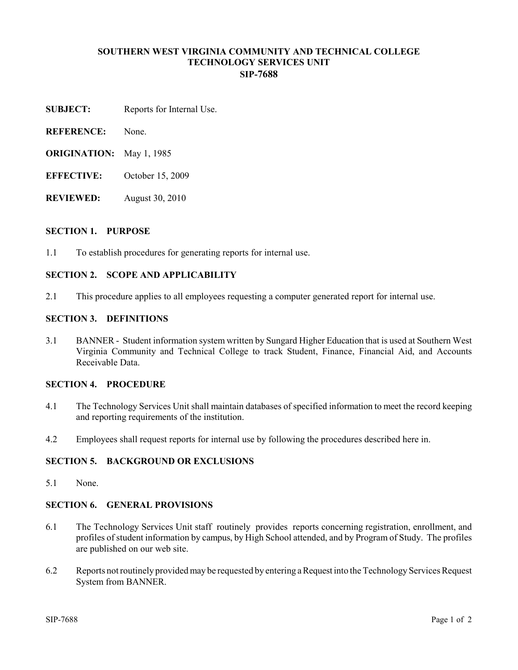### **SOUTHERN WEST VIRGINIA COMMUNITY AND TECHNICAL COLLEGE TECHNOLOGY SERVICES UNIT SIP-7688**

- **SUBJECT:** Reports for Internal Use.
- **REFERENCE:** None.
- **ORIGINATION:** May 1, 1985
- **EFFECTIVE:** October 15, 2009
- **REVIEWED:** August 30, 2010

#### **SECTION 1. PURPOSE**

1.1 To establish procedures for generating reports for internal use.

# **SECTION 2. SCOPE AND APPLICABILITY**

2.1 This procedure applies to all employees requesting a computer generated report for internal use.

#### **SECTION 3. DEFINITIONS**

3.1 BANNER - Student information system written by Sungard Higher Education that is used at Southern West Virginia Community and Technical College to track Student, Finance, Financial Aid, and Accounts Receivable Data.

# **SECTION 4. PROCEDURE**

- 4.1 The Technology Services Unit shall maintain databases of specified information to meet the record keeping and reporting requirements of the institution.
- 4.2 Employees shall request reports for internal use by following the procedures described here in.

# **SECTION 5. BACKGROUND OR EXCLUSIONS**

5.1 None.

# **SECTION 6. GENERAL PROVISIONS**

- 6.1 The Technology Services Unit staff routinely provides reports concerning registration, enrollment, and profiles of student information by campus, by High School attended, and by Program of Study. The profiles are published on our web site.
- 6.2 Reports not routinely provided may be requested by entering a Request into the Technology Services Request System from BANNER.